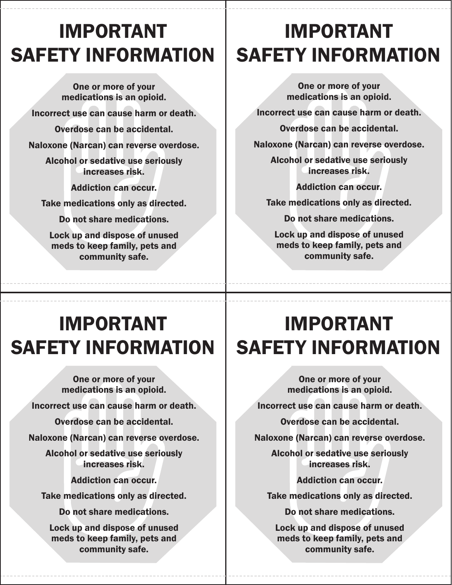# IMPORTANT SAFETY INFORMATION

One or more of your medications is an opioid. Incorrect use can cause harm or death. Overdose can be accidental. Naloxone (Narcan) can reverse overdose. Alcohol or sedative use seriously increases risk. Addiction can occur. Take medications only as directed. Do not share medications. Lock up and dispose of unused meds to keep family, pets and community safe.

# IMPORTANT SAFETY INFORMATION

One or more of your medications is an opioid.

Incorrect use can cause harm or death.

Overdose can be accidental.

Naloxone (Narcan) can reverse overdose.

Alcohol or sedative use seriously increases risk.

Addiction can occur.

Take medications only as directed.

Do not share medications.

Lock up and dispose of unused meds to keep family, pets and community safe.

# IMPORTANT SAFETY INFORMATION

One or more of your medications is an opioid. Incorrect use can cause harm or death. Overdose can be accidental. Naloxone (Narcan) can reverse overdose. Alcohol or sedative use seriously increases risk. Addiction can occur. Take medications only as directed. Do not share medications. Lock up and dispose of unused

meds to keep family, pets and community safe.

# IMPORTANT SAFETY INFORMATION

One or more of your medications is an opioid.

Incorrect use can cause harm or death.

Overdose can be accidental.

Naloxone (Narcan) can reverse overdose.

Alcohol or sedative use seriously increases risk.

Addiction can occur.

Take medications only as directed.

Do not share medications.

Lock up and dispose of unused meds to keep family, pets and community safe.